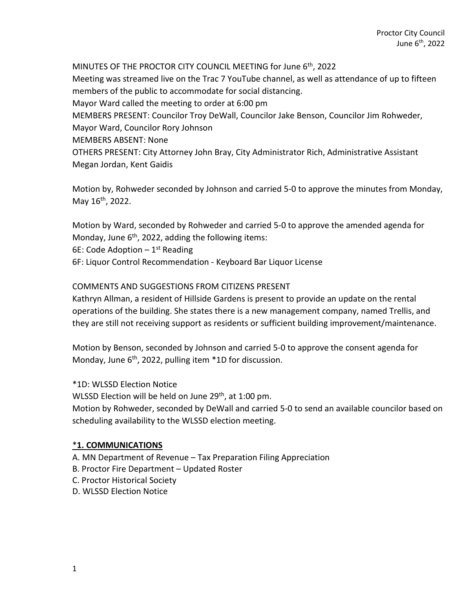MINUTES OF THE PROCTOR CITY COUNCIL MEETING for June 6th, 2022 Meeting was streamed live on the Trac 7 YouTube channel, as well as attendance of up to fifteen members of the public to accommodate for social distancing. Mayor Ward called the meeting to order at 6:00 pm MEMBERS PRESENT: Councilor Troy DeWall, Councilor Jake Benson, Councilor Jim Rohweder, Mayor Ward, Councilor Rory Johnson MEMBERS ABSENT: None OTHERS PRESENT: City Attorney John Bray, City Administrator Rich, Administrative Assistant Megan Jordan, Kent Gaidis

Motion by, Rohweder seconded by Johnson and carried 5-0 to approve the minutes from Monday, May 16<sup>th</sup>, 2022.

Motion by Ward, seconded by Rohweder and carried 5-0 to approve the amended agenda for Monday, June  $6<sup>th</sup>$ , 2022, adding the following items: 6E: Code Adoption  $-1<sup>st</sup>$  Reading 6F: Liquor Control Recommendation - Keyboard Bar Liquor License

#### COMMENTS AND SUGGESTIONS FROM CITIZENS PRESENT

Kathryn Allman, a resident of Hillside Gardens is present to provide an update on the rental operations of the building. She states there is a new management company, named Trellis, and they are still not receiving support as residents or sufficient building improvement/maintenance.

Motion by Benson, seconded by Johnson and carried 5-0 to approve the consent agenda for Monday, June  $6<sup>th</sup>$ , 2022, pulling item  $*$ 1D for discussion.

\*1D: WLSSD Election Notice

WLSSD Election will be held on June 29<sup>th</sup>, at 1:00 pm.

Motion by Rohweder, seconded by DeWall and carried 5-0 to send an available councilor based on scheduling availability to the WLSSD election meeting.

#### \***1. COMMUNICATIONS**

- A. MN Department of Revenue Tax Preparation Filing Appreciation
- B. Proctor Fire Department Updated Roster
- C. Proctor Historical Society
- D. WLSSD Election Notice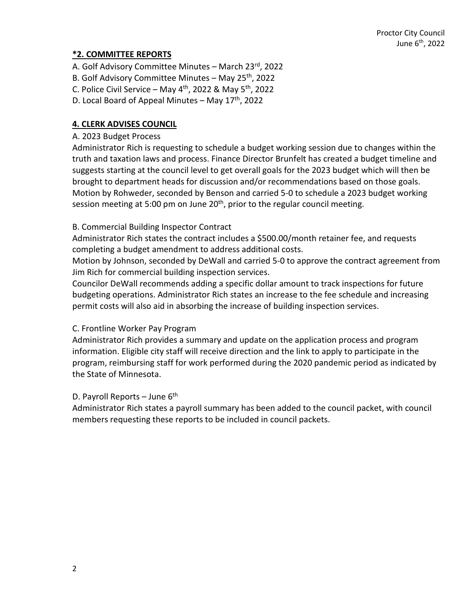## **\*2. COMMITTEE REPORTS**

- A. Golf Advisory Committee Minutes March 23rd, 2022
- B. Golf Advisory Committee Minutes May  $25<sup>th</sup>$ , 2022
- C. Police Civil Service May  $4<sup>th</sup>$ , 2022 & May  $5<sup>th</sup>$ , 2022
- D. Local Board of Appeal Minutes May  $17<sup>th</sup>$ , 2022

### **4. CLERK ADVISES COUNCIL**

#### A. 2023 Budget Process

Administrator Rich is requesting to schedule a budget working session due to changes within the truth and taxation laws and process. Finance Director Brunfelt has created a budget timeline and suggests starting at the council level to get overall goals for the 2023 budget which will then be brought to department heads for discussion and/or recommendations based on those goals. Motion by Rohweder, seconded by Benson and carried 5-0 to schedule a 2023 budget working session meeting at 5:00 pm on June  $20<sup>th</sup>$ , prior to the regular council meeting.

#### B. Commercial Building Inspector Contract

Administrator Rich states the contract includes a \$500.00/month retainer fee, and requests completing a budget amendment to address additional costs.

Motion by Johnson, seconded by DeWall and carried 5-0 to approve the contract agreement from Jim Rich for commercial building inspection services.

Councilor DeWall recommends adding a specific dollar amount to track inspections for future budgeting operations. Administrator Rich states an increase to the fee schedule and increasing permit costs will also aid in absorbing the increase of building inspection services.

### C. Frontline Worker Pay Program

Administrator Rich provides a summary and update on the application process and program information. Eligible city staff will receive direction and the link to apply to participate in the program, reimbursing staff for work performed during the 2020 pandemic period as indicated by the State of Minnesota.

### D. Payroll Reports – June  $6<sup>th</sup>$

Administrator Rich states a payroll summary has been added to the council packet, with council members requesting these reports to be included in council packets.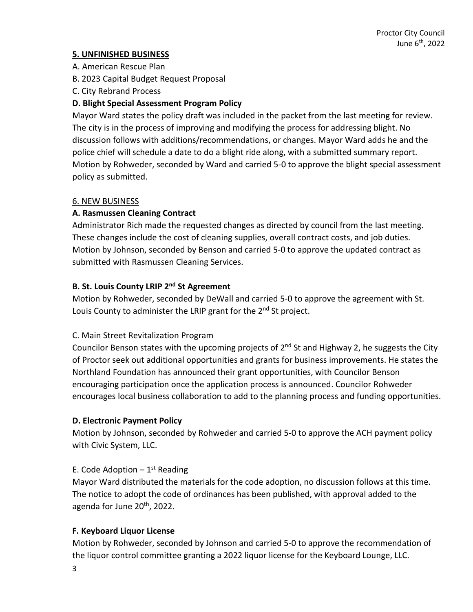## **5. UNFINISHED BUSINESS**

- A. American Rescue Plan
- B. 2023 Capital Budget Request Proposal
- C. City Rebrand Process

# **D. Blight Special Assessment Program Policy**

Mayor Ward states the policy draft was included in the packet from the last meeting for review. The city is in the process of improving and modifying the process for addressing blight. No discussion follows with additions/recommendations, or changes. Mayor Ward adds he and the police chief will schedule a date to do a blight ride along, with a submitted summary report. Motion by Rohweder, seconded by Ward and carried 5-0 to approve the blight special assessment policy as submitted.

### 6. NEW BUSINESS

## **A. Rasmussen Cleaning Contract**

Administrator Rich made the requested changes as directed by council from the last meeting. These changes include the cost of cleaning supplies, overall contract costs, and job duties. Motion by Johnson, seconded by Benson and carried 5-0 to approve the updated contract as submitted with Rasmussen Cleaning Services.

## **B. St. Louis County LRIP 2nd St Agreement**

Motion by Rohweder, seconded by DeWall and carried 5-0 to approve the agreement with St. Louis County to administer the LRIP grant for the  $2<sup>nd</sup>$  St project.

# C. Main Street Revitalization Program

Councilor Benson states with the upcoming projects of  $2<sup>nd</sup>$  St and Highway 2, he suggests the City of Proctor seek out additional opportunities and grants for business improvements. He states the Northland Foundation has announced their grant opportunities, with Councilor Benson encouraging participation once the application process is announced. Councilor Rohweder encourages local business collaboration to add to the planning process and funding opportunities.

### **D. Electronic Payment Policy**

Motion by Johnson, seconded by Rohweder and carried 5-0 to approve the ACH payment policy with Civic System, LLC.

# E. Code Adoption  $-1$ <sup>st</sup> Reading

Mayor Ward distributed the materials for the code adoption, no discussion follows at this time. The notice to adopt the code of ordinances has been published, with approval added to the agenda for June 20th, 2022.

# **F. Keyboard Liquor License**

Motion by Rohweder, seconded by Johnson and carried 5-0 to approve the recommendation of the liquor control committee granting a 2022 liquor license for the Keyboard Lounge, LLC.